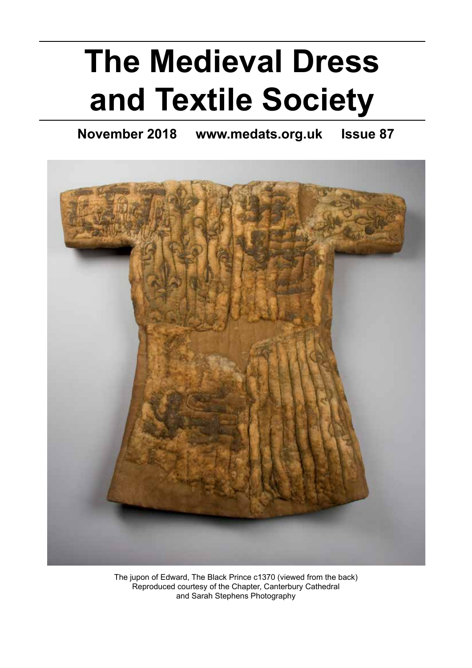# **The Medieval Dress and Textile Society**

**November 2018 www.medats.org.uk Issue 87**



The jupon of Edward, The Black Prince c1370 (viewed from the back) Reproduced courtesy of the Chapter, Canterbury Cathedral and Sarah Stephens Photography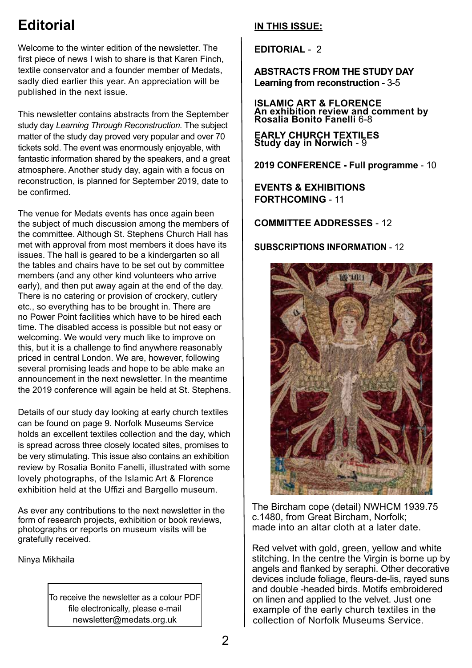### **Editorial**

Welcome to the winter edition of the newsletter. The first piece of news I wish to share is that Karen Finch, textile conservator and a founder member of Medats, sadly died earlier this year. An appreciation will be published in the next issue.

This newsletter contains abstracts from the September study day *Learning Through Reconstruction.* The subject matter of the study day proved very popular and over 70 tickets sold. The event was enormously enjoyable, with fantastic information shared by the speakers, and a great atmosphere. Another study day, again with a focus on reconstruction, is planned for September 2019, date to be confirmed.

The venue for Medats events has once again been the subject of much discussion among the members of the committee. Although St. Stephens Church Hall has met with approval from most members it does have its issues. The hall is geared to be a kindergarten so all the tables and chairs have to be set out by committee members (and any other kind volunteers who arrive early), and then put away again at the end of the day. There is no catering or provision of crockery, cutlery etc., so everything has to be brought in. There are no Power Point facilities which have to be hired each time. The disabled access is possible but not easy or welcoming. We would very much like to improve on this, but it is a challenge to find anywhere reasonably priced in central London. We are, however, following several promising leads and hope to be able make an announcement in the next newsletter. In the meantime the 2019 conference will again be held at St. Stephens.

Details of our study day looking at early church textiles can be found on page 9. Norfolk Museums Service holds an excellent textiles collection and the day, which is spread across three closely located sites, promises to be very stimulating. This issue also contains an exhibition review by Rosalia Bonito Fanelli, illustrated with some lovely photographs, of the Islamic Art & Florence exhibition held at the Uffizi and Bargello museum.

As ever any contributions to the next newsletter in the form of research projects, exhibition or book reviews, photographs or reports on museum visits will be gratefully received.

Ninya Mikhaila

To receive the newsletter as a colour PDF file electronically, please e-mail newsletter@medats.org.uk

#### **IN THIS ISSUE:**

**EDITORIAL** - 2

**ABSTRACTS FROM THE STUDY DAY Learning from reconstruction** - 3-5

**ISLAMIC ART & FLORENCE An exhibition review and comment by Rosalia Bonito Fanelli** 6-8

**EARLY CHURCH TEXTILES Study day in Norwich** - 9

**2019 CONFERENCE - Full programme** - 10

**EVENTS & EXHIBITIONS FORTHCOMING** - 11

**COMMITTEE ADDRESSES** - 12

**SUBSCRIPTIONS INFORMATION** - 12



The Bircham cope (detail) NWHCM 1939.75 c.1480, from Great Bircham, Norfolk; made into an altar cloth at a later date.

Red velvet with gold, green, yellow and white stitching. In the centre the Virgin is borne up by angels and flanked by seraphi. Other decorative devices include foliage, fleurs-de-lis, rayed suns and double -headed birds. Motifs embroidered on linen and applied to the velvet. Just one example of the early church textiles in the collection of Norfolk Museums Service.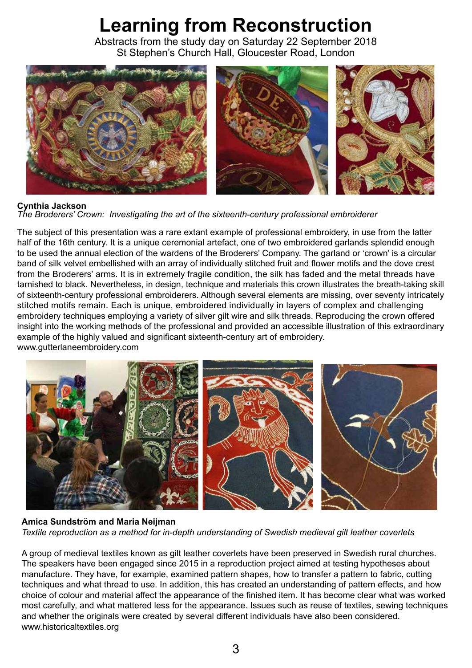# **Learning from Reconstruction**

Abstracts from the study day on Saturday 22 September 2018 St Stephen's Church Hall, Gloucester Road, London



#### **Cynthia Jackson**

*The Broderers' Crown: Investigating the art of the sixteenth-century professional embroiderer*

The subject of this presentation was a rare extant example of professional embroidery, in use from the latter half of the 16th century. It is a unique ceremonial artefact, one of two embroidered garlands splendid enough to be used the annual election of the wardens of the Broderers' Company. The garland or 'crown' is a circular band of silk velvet embellished with an array of individually stitched fruit and flower motifs and the dove crest from the Broderers' arms. It is in extremely fragile condition, the silk has faded and the metal threads have tarnished to black. Nevertheless, in design, technique and materials this crown illustrates the breath-taking skill of sixteenth-century professional embroiderers. Although several elements are missing, over seventy intricately stitched motifs remain. Each is unique, embroidered individually in layers of complex and challenging embroidery techniques employing a variety of silver gilt wire and silk threads. Reproducing the crown offered insight into the working methods of the professional and provided an accessible illustration of this extraordinary example of the highly valued and significant sixteenth-century art of embroidery. www.gutterlaneembroidery.com



#### **Amica Sundström and Maria Neijman**

*Textile reproduction as a method for in-depth understanding of Swedish medieval gilt leather coverlets* 

A group of medieval textiles known as gilt leather coverlets have been preserved in Swedish rural churches. The speakers have been engaged since 2015 in a reproduction project aimed at testing hypotheses about manufacture. They have, for example, examined pattern shapes, how to transfer a pattern to fabric, cutting techniques and what thread to use. In addition, this has created an understanding of pattern effects, and how choice of colour and material affect the appearance of the finished item. It has become clear what was worked most carefully, and what mattered less for the appearance. Issues such as reuse of textiles, sewing techniques and whether the originals were created by several different individuals have also been considered. www.historicaltextiles.org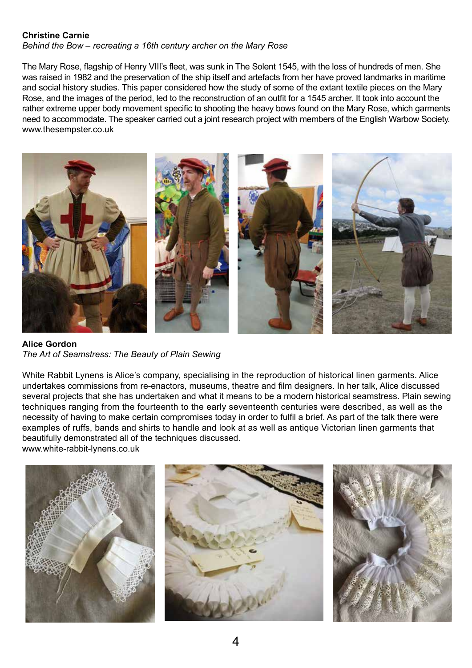#### **Christine Carnie**

*Behind the Bow – recreating a 16th century archer on the Mary Rose* 

The Mary Rose, flagship of Henry VIII's fleet, was sunk in The Solent 1545, with the loss of hundreds of men. She was raised in 1982 and the preservation of the ship itself and artefacts from her have proved landmarks in maritime and social history studies. This paper considered how the study of some of the extant textile pieces on the Mary Rose, and the images of the period, led to the reconstruction of an outfit for a 1545 archer. It took into account the rather extreme upper body movement specific to shooting the heavy bows found on the Mary Rose, which garments need to accommodate. The speaker carried out a joint research project with members of the English Warbow Society. www.thesempster.co.uk



**Alice Gordon** *The Art of Seamstress: The Beauty of Plain Sewing*

White Rabbit Lynens is Alice's company, specialising in the reproduction of historical linen garments. Alice undertakes commissions from re-enactors, museums, theatre and film designers. In her talk, Alice discussed several projects that she has undertaken and what it means to be a modern historical seamstress. Plain sewing techniques ranging from the fourteenth to the early seventeenth centuries were described, as well as the necessity of having to make certain compromises today in order to fulfil a brief. As part of the talk there were examples of ruffs, bands and shirts to handle and look at as well as antique Victorian linen garments that beautifully demonstrated all of the techniques discussed. www.white-rabbit-lynens.co.uk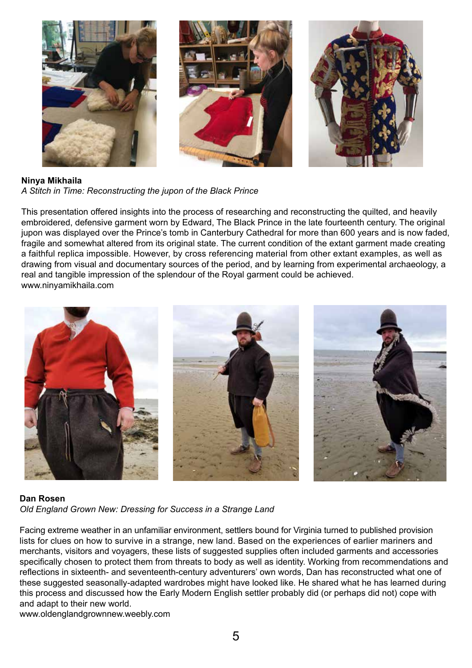

**Ninya Mikhaila** *A Stitch in Time: Reconstructing the jupon of the Black Prince* 

This presentation offered insights into the process of researching and reconstructing the quilted, and heavily embroidered, defensive garment worn by Edward, The Black Prince in the late fourteenth century. The original jupon was displayed over the Prince's tomb in Canterbury Cathedral for more than 600 years and is now faded, fragile and somewhat altered from its original state. The current condition of the extant garment made creating a faithful replica impossible. However, by cross referencing material from other extant examples, as well as drawing from visual and documentary sources of the period, and by learning from experimental archaeology, a real and tangible impression of the splendour of the Royal garment could be achieved. www.ninyamikhaila.com



#### **Dan Rosen**

*Old England Grown New: Dressing for Success in a Strange Land* 

Facing extreme weather in an unfamiliar environment, settlers bound for Virginia turned to published provision lists for clues on how to survive in a strange, new land. Based on the experiences of earlier mariners and merchants, visitors and voyagers, these lists of suggested supplies often included garments and accessories specifically chosen to protect them from threats to body as well as identity. Working from recommendations and reflections in sixteenth- and seventeenth-century adventurers' own words, Dan has reconstructed what one of these suggested seasonally-adapted wardrobes might have looked like. He shared what he has learned during this process and discussed how the Early Modern English settler probably did (or perhaps did not) cope with and adapt to their new world.

www.oldenglandgrownnew.weebly.com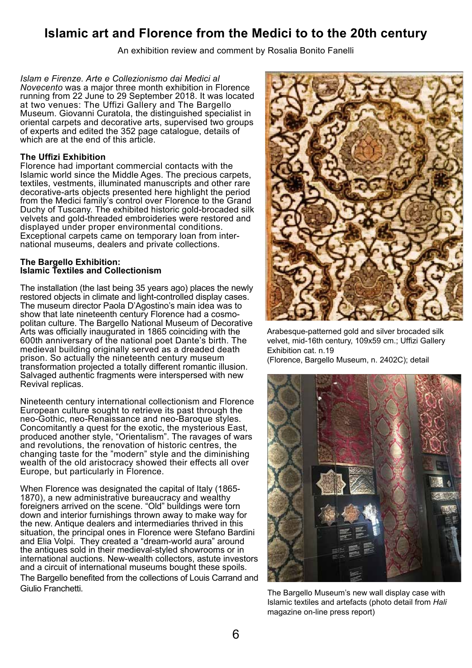### **Islamic art and Florence from the Medici to to the 20th century**

An exhibition review and comment by Rosalia Bonito Fanelli

*Islam e Firenze. Arte e Collezionismo dai Medici al Novecento* was a major three month exhibition in Florence running from 22 June to 29 September 2018. It was located at two venues: The Uffizi Gallery and The Bargello Museum. Giovanni Curatola, the distinguished specialist in oriental carpets and decorative arts, supervised two groups of experts and edited the 352 page catalogue, details of which are at the end of this article.

#### **The Uffizi Exhibition**

Florence had important commercial contacts with the Islamic world since the Middle Ages. The precious carpets, textiles, vestments, illuminated manuscripts and other rare decorative-arts objects presented here highlight the period from the Medici family's control over Florence to the Grand Duchy of Tuscany. The exhibited historic gold-brocaded silk velvets and gold-threaded embroideries were restored and displayed under proper environmental conditions. Exceptional carpets came on temporary loan from international museums, dealers and private collections.

#### **The Bargello Exhibition: Islamic Textiles and Collectionism**

The installation (the last being 35 years ago) places the newly restored objects in climate and light-controlled display cases. The museum director Paola D'Agostino's main idea was to show that late nineteenth century Florence had a cosmopolitan culture. The Bargello National Museum of Decorative Arts was officially inaugurated in 1865 coinciding with the 600th anniversary of the national poet Dante's birth. The medieval building originally served as a dreaded death prison. So actually the nineteenth century museum transformation projected a totally different romantic illusion. Salvaged authentic fragments were interspersed with new Revival replicas.

Nineteenth century international collectionism and Florence European culture sought to retrieve its past through the neo-Gothic, neo-Renaissance and neo-Baroque styles. Concomitantly a quest for the exotic, the mysterious East, produced another style, "Orientalism". The ravages of wars and revolutions, the renovation of historic centres, the changing taste for the "modern" style and the diminishing wealth of the old aristocracy showed their effects all over Europe, but particularly in Florence.

When Florence was designated the capital of Italy (1865- 1870), a new administrative bureaucracy and wealthy foreigners arrived on the scene. "Old" buildings were torn down and interior furnishings thrown away to make way for the new. Antique dealers and intermediaries thrived in this situation, the principal ones in Florence were Stefano Bardini and Elia Volpi. They created a "dream-world aura" around the antiques sold in their medieval-styled showrooms or in international auctions. New-wealth collectors, astute investors and a circuit of international museums bought these spoils. The Bargello benefited from the collections of Louis Carrand and Giulio Franchetti.



Arabesque-patterned gold and silver brocaded silk velvet, mid-16th century, 109x59 cm.; Uffizi Gallery Exhibition cat. n.19

(Florence, Bargello Museum, n. 2402C); detail



Islamic textiles and artefacts (photo detail from *Hali* magazine on-line press report)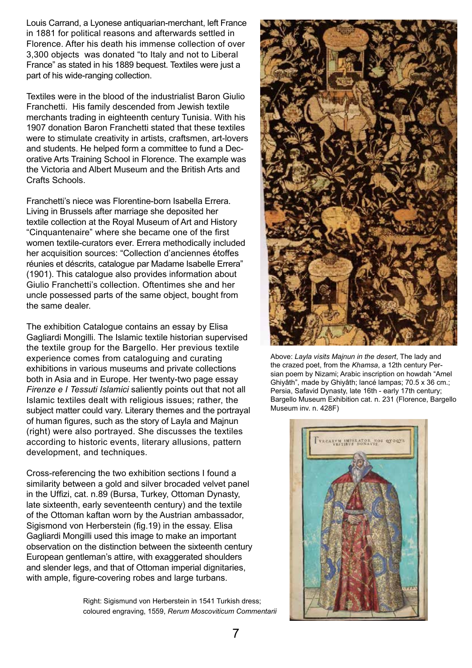Louis Carrand, a Lyonese antiquarian-merchant, left France in 1881 for political reasons and afterwards settled in Florence. After his death his immense collection of over 3,300 objects was donated "to Italy and not to Liberal France" as stated in his 1889 bequest. Textiles were just a part of his wide-ranging collection.

Textiles were in the blood of the industrialist Baron Giulio Franchetti. His family descended from Jewish textile merchants trading in eighteenth century Tunisia. With his 1907 donation Baron Franchetti stated that these textiles were to stimulate creativity in artists, craftsmen, art-lovers and students. He helped form a committee to fund a Decorative Arts Training School in Florence. The example was the Victoria and Albert Museum and the British Arts and Crafts Schools.

Franchetti's niece was Florentine-born Isabella Errera. Living in Brussels after marriage she deposited her textile collection at the Royal Museum of Art and History "Cinquantenaire" where she became one of the first women textile-curators ever. Errera methodically included her acquisition sources: "Collection d'anciennes étoffes réunies et déscrits, catalogue par Madame Isabelle Errera" (1901). This catalogue also provides information about Giulio Franchetti's collection. Oftentimes she and her uncle possessed parts of the same object, bought from the same dealer.

The exhibition Catalogue contains an essay by Elisa Gagliardi Mongilli. The Islamic textile historian supervised the textile group for the Bargello. Her previous textile experience comes from cataloguing and curating exhibitions in various museums and private collections both in Asia and in Europe. Her twenty-two page essay *Firenze e I Tessuti Islamici* saliently points out that not all Islamic textiles dealt with religious issues; rather, the subject matter could vary. Literary themes and the portrayal of human figures, such as the story of Layla and Majnun (right) were also portrayed. She discusses the textiles according to historic events, literary allusions, pattern development, and techniques.

Cross-referencing the two exhibition sections I found a similarity between a gold and silver brocaded velvet panel in the Uffizi, cat. n.89 (Bursa, Turkey, Ottoman Dynasty, late sixteenth, early seventeenth century) and the textile of the Ottoman kaftan worn by the Austrian ambassador, Sigismond von Herberstein (fig.19) in the essay. Elisa Gagliardi Mongilli used this image to make an important observation on the distinction between the sixteenth century European gentleman's attire, with exaggerated shoulders and slender legs, and that of Ottoman imperial dignitaries, with ample, figure-covering robes and large turbans.

> Right: Sigismund von Herberstein in 1541 Turkish dress; coloured engraving, 1559, *Rerum Moscoviticum Commentarii*



Above: *Layla visits Majnun in the desert*, The lady and the crazed poet, from the *Khamsa*, a 12th century Persian poem by Nizami; Arabic inscription on howdah "Amel Ghiyâth", made by Ghiyâth; lancé lampas; 70.5 x 36 cm.; Persia, Safavid Dynasty, late 16th - early 17th century; Bargello Museum Exhibition cat. n. 231 (Florence, Bargello Museum inv. n. 428F)

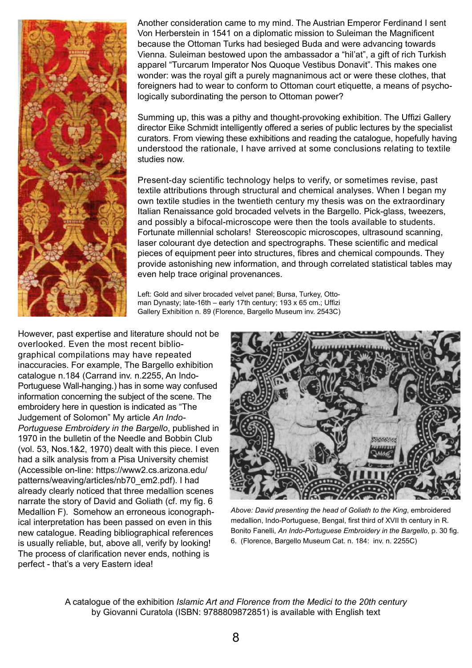

Another consideration came to my mind. The Austrian Emperor Ferdinand I sent Von Herberstein in 1541 on a diplomatic mission to Suleiman the Magnificent because the Ottoman Turks had besieged Buda and were advancing towards Vienna. Suleiman bestowed upon the ambassador a "hil'at", a gift of rich Turkish apparel "Turcarum Imperator Nos Quoque Vestibus Donavit". This makes one wonder: was the royal gift a purely magnanimous act or were these clothes, that foreigners had to wear to conform to Ottoman court etiquette, a means of psychologically subordinating the person to Ottoman power?

Summing up, this was a pithy and thought-provoking exhibition. The Uffizi Gallery director Eike Schmidt intelligently offered a series of public lectures by the specialist curators. From viewing these exhibitions and reading the catalogue, hopefully having understood the rationale, I have arrived at some conclusions relating to textile studies now.

Present-day scientific technology helps to verify, or sometimes revise, past textile attributions through structural and chemical analyses. When I began my own textile studies in the twentieth century my thesis was on the extraordinary Italian Renaissance gold brocaded velvets in the Bargello. Pick-glass, tweezers, and possibly a bifocal-microscope were then the tools available to students. Fortunate millennial scholars! Stereoscopic microscopes, ultrasound scanning, laser colourant dye detection and spectrographs. These scientific and medical pieces of equipment peer into structures, fibres and chemical compounds. They provide astonishing new information, and through correlated statistical tables may even help trace original provenances.

Left: Gold and silver brocaded velvet panel; Bursa, Turkey, Ottoman Dynasty; late-16th – early 17th century; 193 x 65 cm.; Uffizi Gallery Exhibition n. 89 (Florence, Bargello Museum inv. 2543C)

However, past expertise and literature should not be overlooked. Even the most recent bibliographical compilations may have repeated inaccuracies. For example, The Bargello exhibition catalogue n.184 (Carrand inv. n.2255, An Indo-Portuguese Wall-hanging.) has in some way confused information concerning the subject of the scene. The embroidery here in question is indicated as "The Judgement of Solomon" My article *An Indo-Portuguese Embroidery in the Bargello*, published in 1970 in the bulletin of the Needle and Bobbin Club (vol. 53, Nos.1&2, 1970) dealt with this piece. I even had a silk analysis from a Pisa University chemist (Accessible on-line: https://www2.cs.arizona.edu/ patterns/weaving/articles/nb70\_em2.pdf). I had already clearly noticed that three medallion scenes narrate the story of David and Goliath (cf. my fig. 6 Medallion F). Somehow an erroneous iconographical interpretation has been passed on even in this new catalogue. Reading bibliographical references is usually reliable, but, above all, verify by looking! The process of clarification never ends, nothing is perfect - that's a very Eastern idea!



*Above: David presenting the head of Goliath to the King*, embroidered medallion, Indo-Portuguese, Bengal, first third of XVII th century in R. Bonito Fanelli, *An Indo-Portuguese Embroidery in the Bargello*, p. 30 fig. 6. (Florence, Bargello Museum Cat. n. 184: inv. n. 2255C)

A catalogue of the exhibition *Islamic Art and Florence from the Medici to the 20th century* by Giovanni Curatola (ISBN: 9788809872851) is available with English text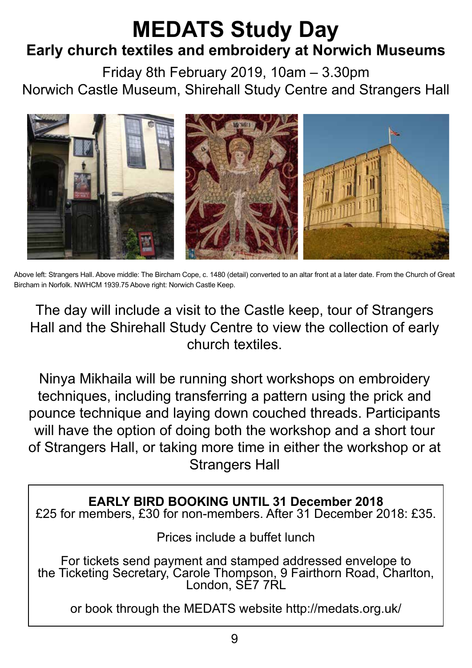## **MEDATS Study Day Early church textiles and embroidery at Norwich Museums**

Friday 8th February 2019, 10am – 3.30pm Norwich Castle Museum, Shirehall Study Centre and Strangers Hall



Above left: Strangers Hall. Above middle: The Bircham Cope, c. 1480 (detail) converted to an altar front at a later date. From the Church of Great Bircham in Norfolk. NWHCM 1939.75 Above right: Norwich Castle Keep.

The day will include a visit to the Castle keep, tour of Strangers Hall and the Shirehall Study Centre to view the collection of early church textiles.

Ninya Mikhaila will be running short workshops on embroidery techniques, including transferring a pattern using the prick and pounce technique and laying down couched threads. Participants will have the option of doing both the workshop and a short tour of Strangers Hall, or taking more time in either the workshop or at Strangers Hall

**EARLY BIRD BOOKING UNTIL 31 December 2018** £25 for members, £30 for non-members. After 31 December 2018: £35.

Prices include a buffet lunch

For tickets send payment and stamped addressed envelope to the Ticketing Secretary, Carole Thompson, 9 Fairthorn Road, Charlton, London, SE7 7RL

or book through the MEDATS website http://medats.org.uk/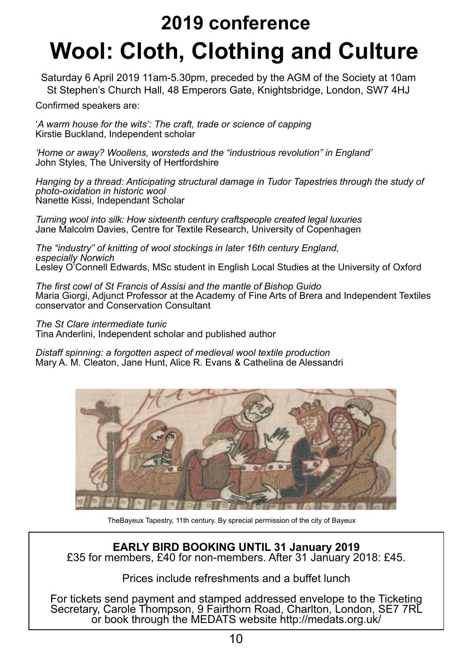# **Wool: Cloth, Clothing and Culture 2019 conference**

Saturday 6 April 2019 11am-5.30pm, preceded by the AGM of the Society at 10am St Stephen's Church Hall, 48 Emperors Gate, Knightsbridge, London, SW7 4HJ

Confirmed speakers are:

'*A warm house for the wits': The craft, trade or science of capping* Kirstie Buckland, Independent scholar

*'Home or away? Woollens, worsteds and the "industrious revolution" in England'* John Styles, The University of Hertfordshire

*Hanging by a thread: Anticipating structural damage in Tudor Tapestries through the study of photo-oxidation in historic wool* Nanette Kissi, Independant Scholar

*Turning wool into silk: How sixteenth century craftspeople created legal luxuries* Jane Malcolm Davies, Centre for Textile Research, University of Copenhagen

*The "industry" of knitting of wool stockings in later 16th century England, especially Norwich* Lesley O'Connell Edwards, MSc student in English Local Studies at the University of Oxford

*The first cowl of St Francis of Assisi and the mantle of Bishop Guido* Maria Giorgi, Adjunct Professor at the Academy of Fine Arts of Brera and Independent Textiles conservator and Conservation Consultant

*The St Clare intermediate tunic*

Tina Anderlini, Independent scholar and published author

*Distaff spinning: a forgotten aspect of medieval wool textile production* Mary A. M. Cleaton, Jane Hunt, Alice R. Evans & Cathelina de Alessandri



TheBayeux Tapestry, 11th century. By sprecial permission of the city of Bayeux

**EARLY BIRD BOOKING UNTIL 31 January 2019** £35 for members, £40 for non-members. After 31 January 2018: £45.

Prices include refreshments and a buffet lunch

For tickets send payment and stamped addressed envelope to the Ticketing Secretary, Carole Thompson, 9 Fairthorn Road, Charlton, London, SE7 7RL or book through the MEDATS website http://medats.org.uk/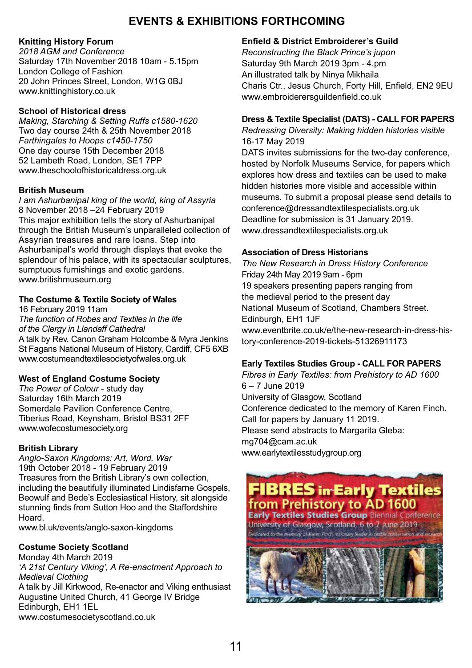#### **EVENTS & EXHIBITIONS FORTHCOMING**

#### **Knitting History Forum**

*2018 AGM and Conference* Saturday 17th November 2018 10am - 5.15pm London College of Fashion 20 John Princes Street, London, W1G 0BJ www.knittinghistory.co.uk

#### **School of Historical dress**

*Making, Starching & Setting Ruffs c1580-1620* Two day course 24th & 25th November 2018 *Farthingales to Hoops c1450-1750* One day course 15th December 2018 52 Lambeth Road, London, SE1 7PP www.theschoolofhistoricaldress.org.uk

#### **British Museum**

*I am Ashurbanipal king of the world, king of Assyria* 8 November 2018 –24 February 2019 This major exhibition tells the story of Ashurbanipal through the British Museum's unparalleled collection of Assyrian treasures and rare loans. Step into Ashurbanipal's world through displays that evoke the splendour of his palace, with its spectacular sculptures, sumptuous furnishings and exotic gardens. www.britishmuseum.org

#### **The Costume & Textile Society of Wales**

16 February 2019 11am *The function of Robes and Textiles in the life of the Clergy in Llandaff Cathedral* A talk by Rev. Canon Graham Holcombe & Myra Jenkins St Fagans National Museum of History, Cardiff, CF5 6XB www.costumeandtextilesocietyofwales.org.uk

#### **West of England Costume Society**

*The Power of Colour* - study day Saturday 16th March 2019 Somerdale Pavilion Conference Centre, Tiberius Road, Keynsham, Bristol BS31 2FF www.wofecostumesociety.org

#### **British Library**

*Anglo-Saxon Kingdoms: Art, Word, War* 19th October 2018 - 19 February 2019 Treasures from the British Library's own collection, including the beautifully illuminated Lindisfarne Gospels, Beowulf and Bede's Ecclesiastical History, sit alongside stunning finds from Sutton Hoo and the Staffordshire Hoard.

www.bl.uk/events/anglo-saxon-kingdoms

#### **Costume Society Scotland**

Monday 4th March 2019 *'A 21st Century Viking', A Re-enactment Approach to Medieval Clothing* A talk by Jill Kirkwood, Re-enactor and Viking enthusiast Augustine United Church, 41 George IV Bridge Edinburgh, EH1 1EL www.costumesocietyscotland.co.uk

#### **Enfield & District Embroiderer's Guild**

*Reconstructing the Black Prince's jupon* Saturday 9th March 2019 3pm - 4.pm An illustrated talk by Ninya Mikhaila Charis Ctr., Jesus Church, Forty Hill, Enfield, EN2 9EU www.embroiderersguildenfield.co.uk

#### **Dress & Textile Specialist (DATS) - CALL FOR PAPERS**

*Redressing Diversity: Making hidden histories visible* 16-17 May 2019

DATS invites submissions for the two-day conference, hosted by Norfolk Museums Service, for papers which explores how dress and textiles can be used to make hidden histories more visible and accessible within museums. To submit a proposal please send details to conference@dressandtextilespecialists.org.uk Deadline for submission is 31 January 2019. www.dressandtextilespecialists.org.uk

#### **Association of Dress Historians**

*The New Research in Dress History Conference* Friday 24th May 2019 9am - 6pm 19 speakers presenting papers ranging from the medieval period to the present day National Museum of Scotland, Chambers Street. Edinburgh, EH1 1JF www.eventbrite.co.uk/e/the-new-research-in-dress-history-conference-2019-tickets-51326911173

#### **Early Textiles Studies Group - CALL FOR PAPERS**

*Fibres in Early Textiles: from Prehistory to AD 1600* 6 – 7 June 2019 University of Glasgow, Scotland Conference dedicated to the memory of Karen Finch. Call for papers by January 11 2019. Please send abstracts to Margarita Gleba: mg704@cam.ac.uk www.earlytextilesstudygroup.org

### **FIBRES in Early Textiles** from Prehistory to AD 1600

**Early Textiles Studies Group Biennial Conference** University of Glasgow, Scotland, 6 to 7 June 2019. Dedicated to the memory of Karen Finch, instonary leader in textile conservation and